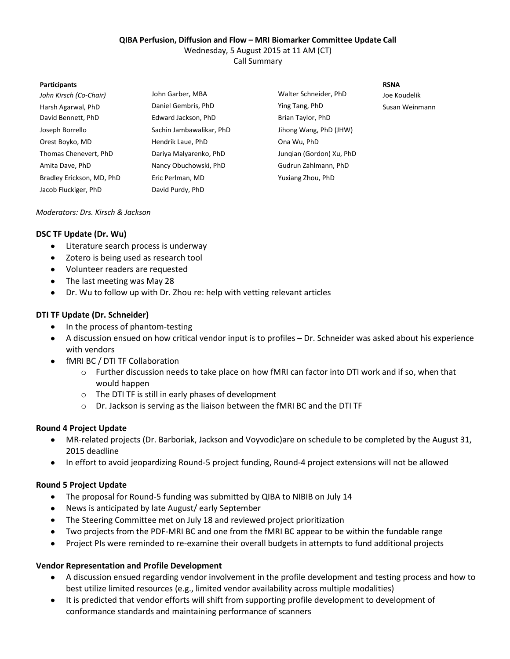### **QIBA Perfusion, Diffusion and Flow – MRI Biomarker Committee Update Call**

Wednesday, 5 August 2015 at 11 AM (CT)

Call Summary

#### **Participants RSNA**

| John Kirsch (Co-Chair)    | John Garber, MBA         | Walter Schneider, PhD    | Joe Koudelik   |
|---------------------------|--------------------------|--------------------------|----------------|
| Harsh Agarwal, PhD        | Daniel Gembris, PhD      | Ying Tang, PhD           | Susan Weinmann |
| David Bennett, PhD        | Edward Jackson, PhD      | Brian Taylor, PhD        |                |
| Joseph Borrello           | Sachin Jambawalikar, PhD | Jihong Wang, PhD (JHW)   |                |
| Orest Boyko, MD           | Hendrik Laue, PhD        | Ona Wu, PhD              |                |
| Thomas Chenevert, PhD     | Dariya Malyarenko, PhD   | Jungian (Gordon) Xu, PhD |                |
| Amita Dave, PhD           | Nancy Obuchowski, PhD    | Gudrun Zahlmann, PhD     |                |
| Bradley Erickson, MD, PhD | Eric Perlman, MD         | Yuxiang Zhou, PhD        |                |
| Jacob Fluckiger, PhD      | David Purdy, PhD         |                          |                |

### *Moderators: Drs. Kirsch & Jackson*

## **DSC TF Update (Dr. Wu)**

- Literature search process is underway
- $\bullet$ Zotero is being used as research tool
- Volunteer readers are requested
- The last meeting was May 28
- Dr. Wu to follow up with Dr. Zhou re: help with vetting relevant articles

## **DTI TF Update (Dr. Schneider)**

- In the process of phantom-testing
- A discussion ensued on how critical vendor input is to profiles Dr. Schneider was asked about his experience with vendors
- fMRI BC / DTI TF Collaboration
	- o Further discussion needs to take place on how fMRI can factor into DTI work and if so, when that would happen
	- o The DTI TF is still in early phases of development
	- o Dr. Jackson is serving as the liaison between the fMRI BC and the DTI TF

## **Round 4 Project Update**

- MR-related projects (Dr. Barboriak, Jackson and Voyvodic)are on schedule to be completed by the August 31, 2015 deadline
- In effort to avoid jeopardizing Round-5 project funding, Round-4 project extensions will not be allowed

## **Round 5 Project Update**

- The proposal for Round-5 funding was submitted by QIBA to NIBIB on July 14
- News is anticipated by late August/ early September
- The Steering Committee met on July 18 and reviewed project prioritization
- Two projects from the PDF-MRI BC and one from the fMRI BC appear to be within the fundable range  $\bullet$
- Project PIs were reminded to re-examine their overall budgets in attempts to fund additional projects

## **Vendor Representation and Profile Development**

- A discussion ensued regarding vendor involvement in the profile development and testing process and how to  $\bullet$ best utilize limited resources (e.g., limited vendor availability across multiple modalities)
- It is predicted that vendor efforts will shift from supporting profile development to development of  $\bullet$ conformance standards and maintaining performance of scanners